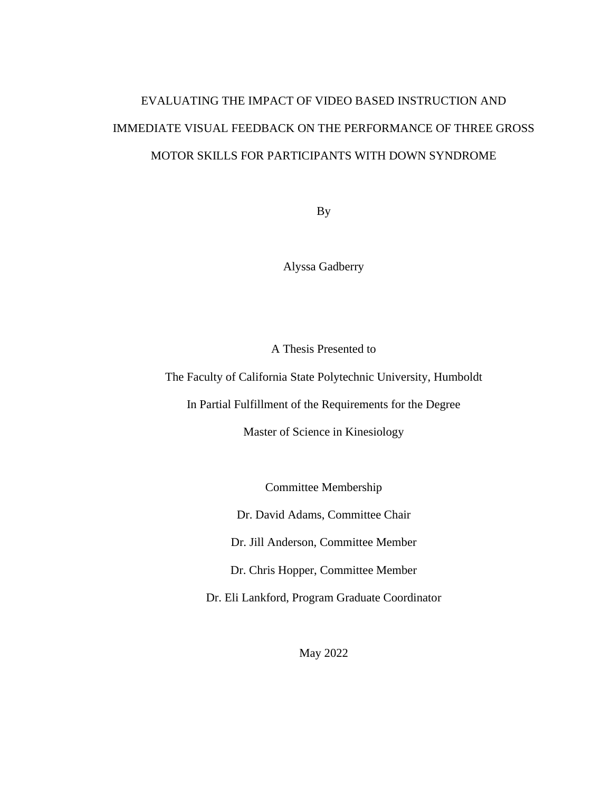# EVALUATING THE IMPACT OF VIDEO BASED INSTRUCTION AND IMMEDIATE VISUAL FEEDBACK ON THE PERFORMANCE OF THREE GROSS MOTOR SKILLS FOR PARTICIPANTS WITH DOWN SYNDROME

By

Alyssa Gadberry

A Thesis Presented to

The Faculty of California State Polytechnic University, Humboldt

In Partial Fulfillment of the Requirements for the Degree

Master of Science in Kinesiology

Committee Membership

Dr. David Adams, Committee Chair

Dr. Jill Anderson, Committee Member

Dr. Chris Hopper, Committee Member

Dr. Eli Lankford, Program Graduate Coordinator

May 2022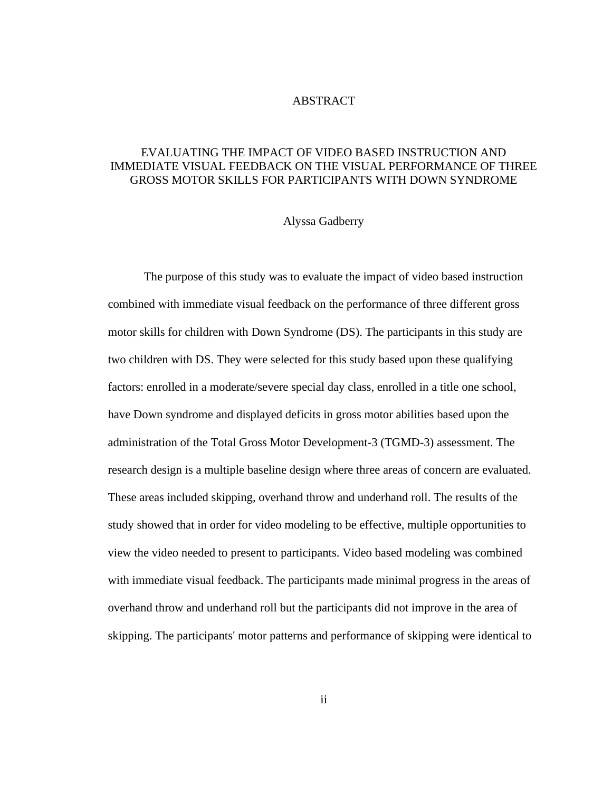#### ABSTRACT

# <span id="page-1-0"></span>EVALUATING THE IMPACT OF VIDEO BASED INSTRUCTION AND IMMEDIATE VISUAL FEEDBACK ON THE VISUAL PERFORMANCE OF THREE GROSS MOTOR SKILLS FOR PARTICIPANTS WITH DOWN SYNDROME

# Alyssa Gadberry

The purpose of this study was to evaluate the impact of video based instruction combined with immediate visual feedback on the performance of three different gross motor skills for children with Down Syndrome (DS). The participants in this study are two children with DS. They were selected for this study based upon these qualifying factors: enrolled in a moderate/severe special day class, enrolled in a title one school, have Down syndrome and displayed deficits in gross motor abilities based upon the administration of the Total Gross Motor Development-3 (TGMD-3) assessment. The research design is a multiple baseline design where three areas of concern are evaluated. These areas included skipping, overhand throw and underhand roll. The results of the study showed that in order for video modeling to be effective, multiple opportunities to view the video needed to present to participants. Video based modeling was combined with immediate visual feedback. The participants made minimal progress in the areas of overhand throw and underhand roll but the participants did not improve in the area of skipping. The participants' motor patterns and performance of skipping were identical to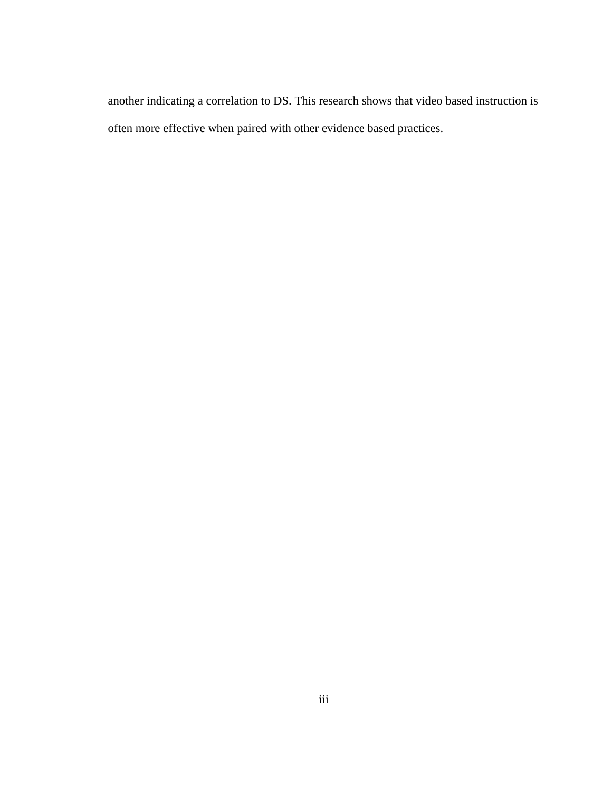another indicating a correlation to DS. This research shows that video based instruction is often more effective when paired with other evidence based practices.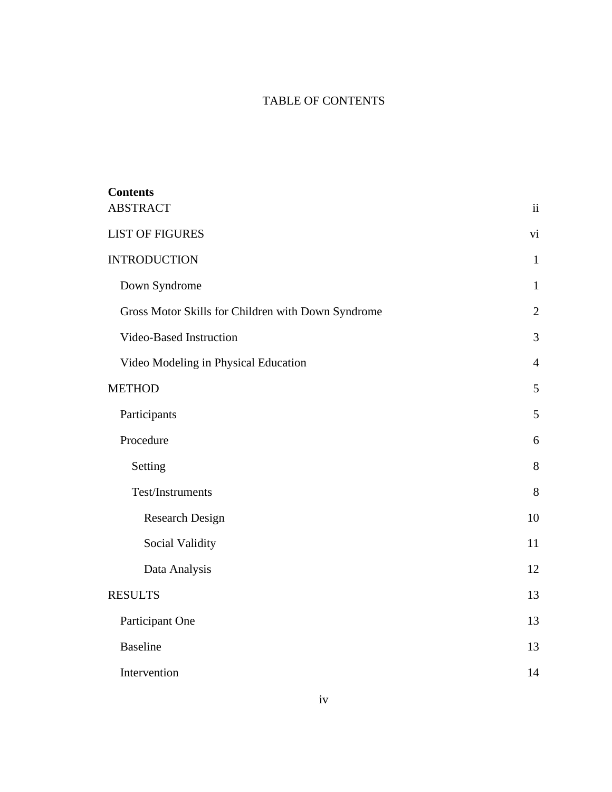# TABLE OF CONTENTS

| <b>Contents</b>                                    |                |
|----------------------------------------------------|----------------|
| <b>ABSTRACT</b>                                    | ii             |
| <b>LIST OF FIGURES</b>                             | vi             |
| <b>INTRODUCTION</b>                                | $\mathbf{1}$   |
| Down Syndrome                                      | $\mathbf{1}$   |
| Gross Motor Skills for Children with Down Syndrome | $\overline{2}$ |
| Video-Based Instruction                            | 3              |
| Video Modeling in Physical Education               | $\overline{4}$ |
| <b>METHOD</b>                                      | 5              |
| Participants                                       | 5              |
| Procedure                                          | 6              |
| Setting                                            | 8              |
| Test/Instruments                                   | 8              |
| <b>Research Design</b>                             | 10             |
| Social Validity                                    | 11             |
| Data Analysis                                      | 12             |
| <b>RESULTS</b>                                     | 13             |
| Participant One                                    | 13             |
| <b>Baseline</b>                                    | 13             |
| Intervention                                       | 14             |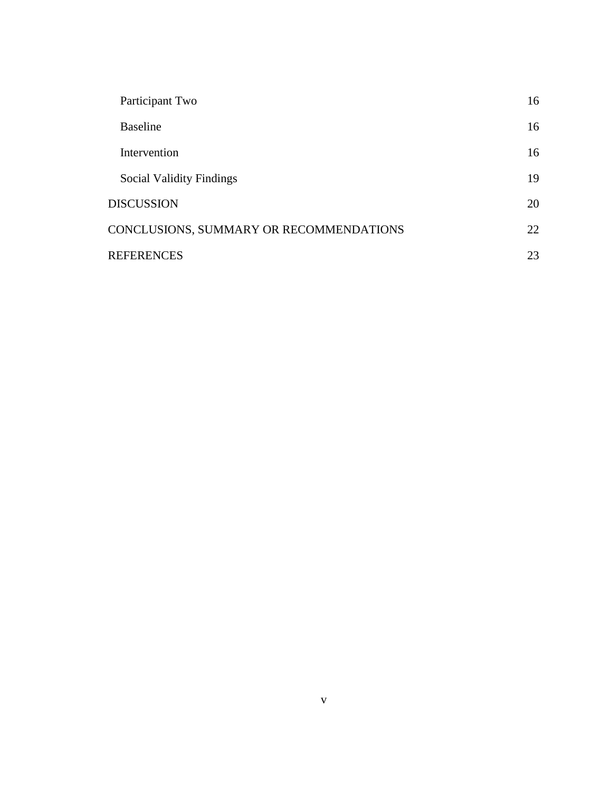| Participant Two                         | 16 |
|-----------------------------------------|----|
| <b>Baseline</b>                         | 16 |
| Intervention                            | 16 |
| <b>Social Validity Findings</b>         | 19 |
| <b>DISCUSSION</b>                       | 20 |
| CONCLUSIONS, SUMMARY OR RECOMMENDATIONS | 22 |
| <b>REFERENCES</b>                       | 23 |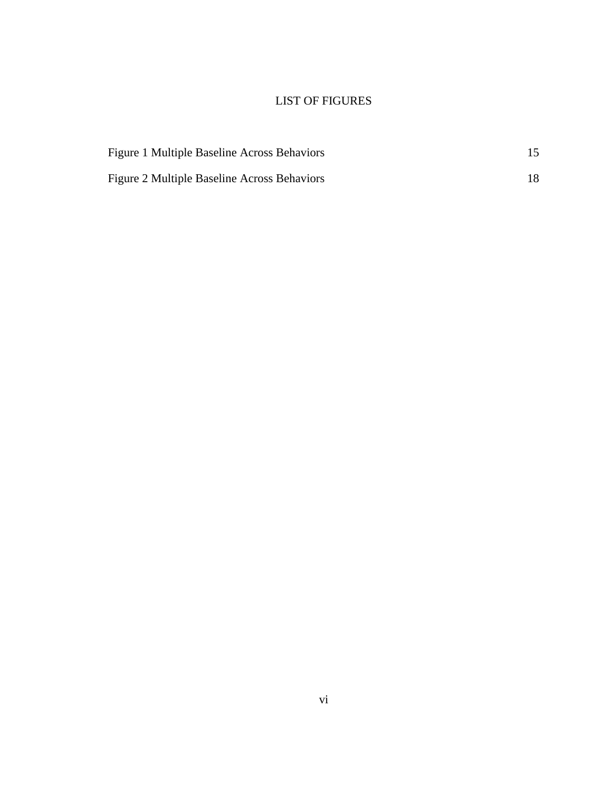# LIST OF FIGURES

<span id="page-5-0"></span>

| Figure 1 Multiple Baseline Across Behaviors |  |
|---------------------------------------------|--|
| Figure 2 Multiple Baseline Across Behaviors |  |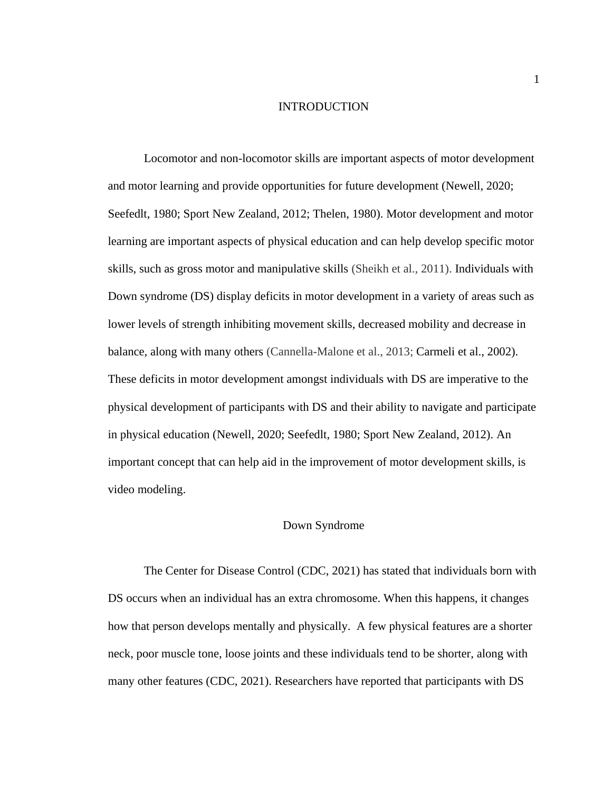#### INTRODUCTION

<span id="page-6-0"></span>Locomotor and non-locomotor skills are important aspects of motor development and motor learning and provide opportunities for future development (Newell, 2020; Seefedlt, 1980; Sport New Zealand, 2012; Thelen, 1980). Motor development and motor learning are important aspects of physical education and can help develop specific motor skills, such as gross motor and manipulative skills (Sheikh et al., 2011). Individuals with Down syndrome (DS) display deficits in motor development in a variety of areas such as lower levels of strength inhibiting movement skills, decreased mobility and decrease in balance, along with many others (Cannella-Malone et al., 2013; Carmeli et al., 2002). These deficits in motor development amongst individuals with DS are imperative to the physical development of participants with DS and their ability to navigate and participate in physical education (Newell, 2020; Seefedlt, 1980; Sport New Zealand, 2012). An important concept that can help aid in the improvement of motor development skills, is video modeling.

#### Down Syndrome

<span id="page-6-1"></span>The Center for Disease Control (CDC, 2021) has stated that individuals born with DS occurs when an individual has an extra chromosome. When this happens, it changes how that person develops mentally and physically. A few physical features are a shorter neck, poor muscle tone, loose joints and these individuals tend to be shorter, along with many other features (CDC, 2021). Researchers have reported that participants with DS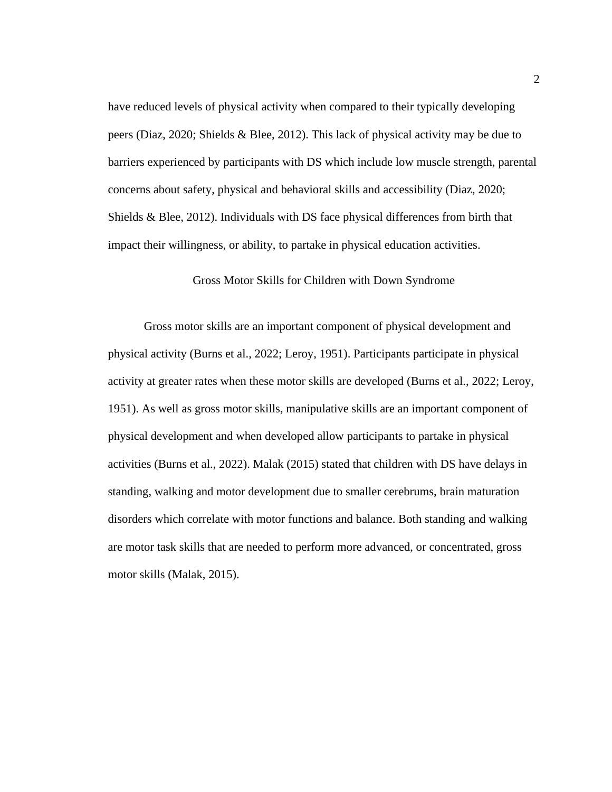have reduced levels of physical activity when compared to their typically developing peers (Diaz, 2020; Shields & Blee, 2012). This lack of physical activity may be due to barriers experienced by participants with DS which include low muscle strength, parental concerns about safety, physical and behavioral skills and accessibility (Diaz, 2020; Shields & Blee, 2012). Individuals with DS face physical differences from birth that impact their willingness, or ability, to partake in physical education activities.

#### Gross Motor Skills for Children with Down Syndrome

<span id="page-7-0"></span>Gross motor skills are an important component of physical development and physical activity (Burns et al., 2022; Leroy, 1951). Participants participate in physical activity at greater rates when these motor skills are developed (Burns et al., 2022; Leroy, 1951). As well as gross motor skills, manipulative skills are an important component of physical development and when developed allow participants to partake in physical activities (Burns et al., 2022). Malak (2015) stated that children with DS have delays in standing, walking and motor development due to smaller cerebrums, brain maturation disorders which correlate with motor functions and balance. Both standing and walking are motor task skills that are needed to perform more advanced, or concentrated, gross motor skills (Malak, 2015).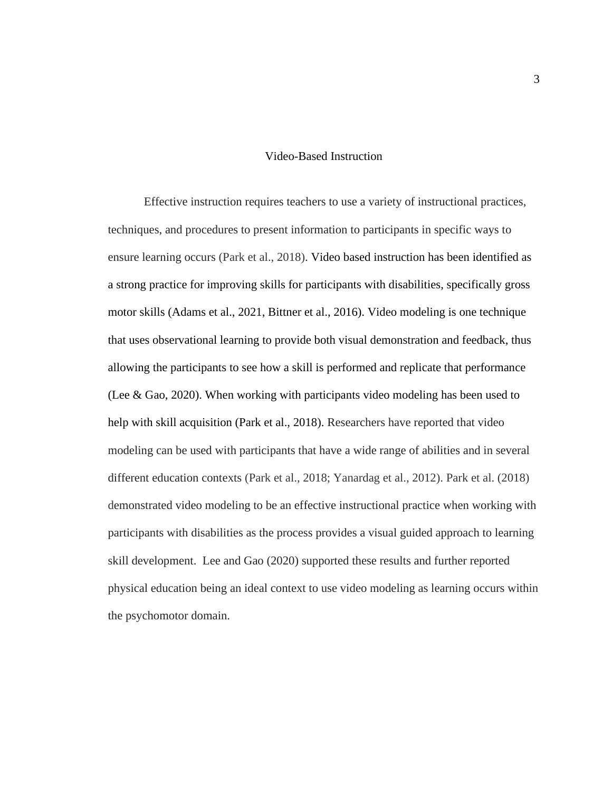#### Video-Based Instruction

<span id="page-8-0"></span>Effective instruction requires teachers to use a variety of instructional practices, techniques, and procedures to present information to participants in specific ways to ensure learning occurs (Park et al., 2018). Video based instruction has been identified as a strong practice for improving skills for participants with disabilities, specifically gross motor skills (Adams et al., 2021, Bittner et al., 2016). Video modeling is one technique that uses observational learning to provide both visual demonstration and feedback, thus allowing the participants to see how a skill is performed and replicate that performance (Lee & Gao, 2020). When working with participants video modeling has been used to help with skill acquisition (Park et al., 2018). Researchers have reported that video modeling can be used with participants that have a wide range of abilities and in several different education contexts (Park et al., 2018; Yanardag et al., 2012). Park et al. (2018) demonstrated video modeling to be an effective instructional practice when working with participants with disabilities as the process provides a visual guided approach to learning skill development. Lee and Gao (2020) supported these results and further reported physical education being an ideal context to use video modeling as learning occurs within the psychomotor domain.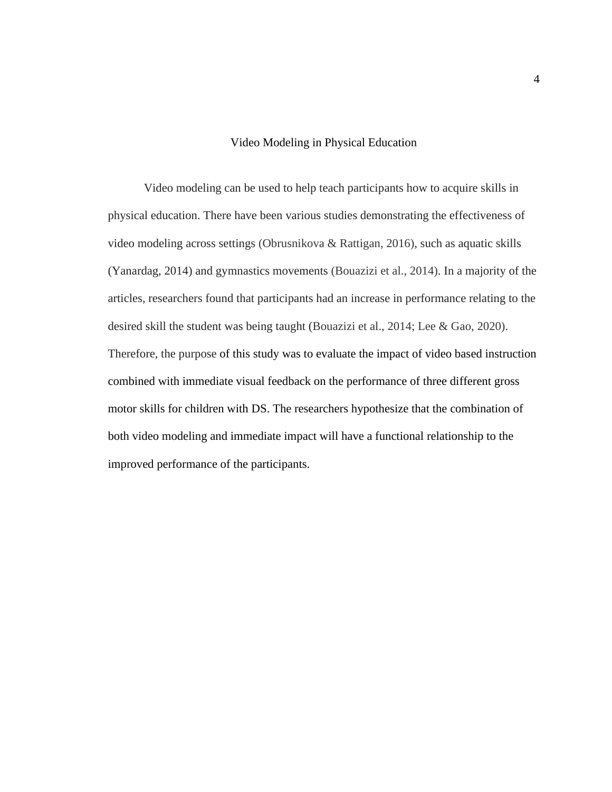# Video Modeling in Physical Education

<span id="page-9-0"></span>Video modeling can be used to help teach participants how to acquire skills in physical education. There have been various studies demonstrating the effectiveness of video modeling across settings (Obrusnikova & Rattigan, 2016), such as aquatic skills (Yanardag, 2014) and gymnastics movements (Bouazizi et al., 2014). In a majority of the articles, researchers found that participants had an increase in performance relating to the desired skill the student was being taught (Bouazizi et al., 2014; Lee & Gao, 2020). Therefore, the purpose of this study was to evaluate the impact of video based instruction combined with immediate visual feedback on the performance of three different gross motor skills for children with DS. The researchers hypothesize that the combination of both video modeling and immediate impact will have a functional relationship to the improved performance of the participants.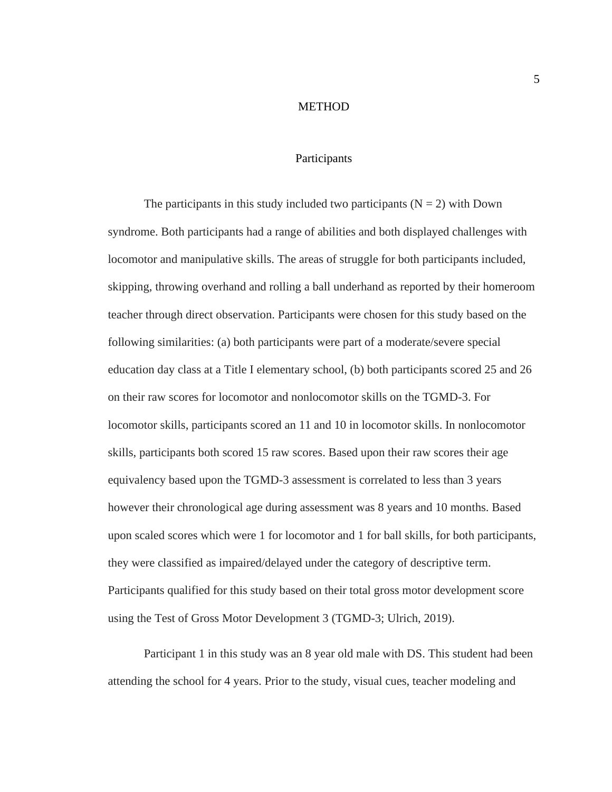#### **METHOD**

# Participants

<span id="page-10-1"></span><span id="page-10-0"></span>The participants in this study included two participants ( $N = 2$ ) with Down syndrome. Both participants had a range of abilities and both displayed challenges with locomotor and manipulative skills. The areas of struggle for both participants included, skipping, throwing overhand and rolling a ball underhand as reported by their homeroom teacher through direct observation. Participants were chosen for this study based on the following similarities: (a) both participants were part of a moderate/severe special education day class at a Title I elementary school, (b) both participants scored 25 and 26 on their raw scores for locomotor and nonlocomotor skills on the TGMD-3. For locomotor skills, participants scored an 11 and 10 in locomotor skills. In nonlocomotor skills, participants both scored 15 raw scores. Based upon their raw scores their age equivalency based upon the TGMD-3 assessment is correlated to less than 3 years however their chronological age during assessment was 8 years and 10 months. Based upon scaled scores which were 1 for locomotor and 1 for ball skills, for both participants, they were classified as impaired/delayed under the category of descriptive term. Participants qualified for this study based on their total gross motor development score using the Test of Gross Motor Development 3 (TGMD-3; Ulrich, 2019).

Participant 1 in this study was an 8 year old male with DS. This student had been attending the school for 4 years. Prior to the study, visual cues, teacher modeling and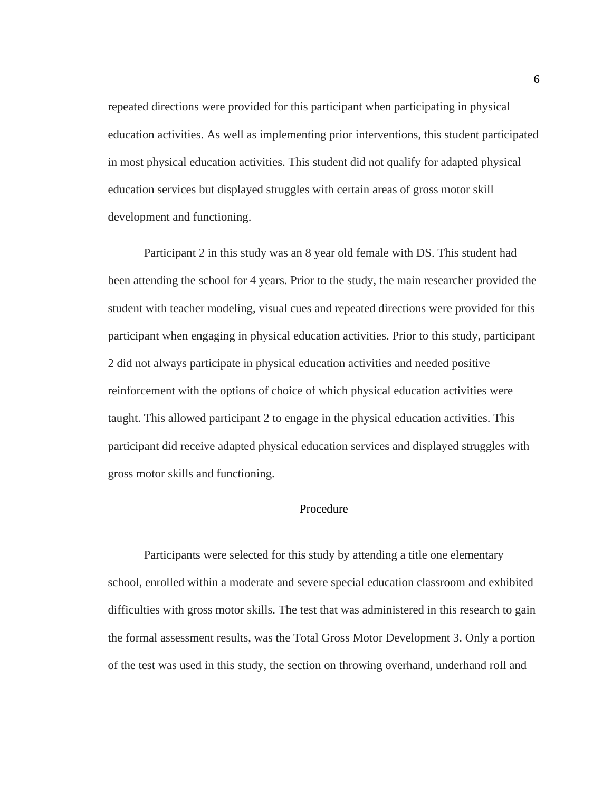repeated directions were provided for this participant when participating in physical education activities. As well as implementing prior interventions, this student participated in most physical education activities. This student did not qualify for adapted physical education services but displayed struggles with certain areas of gross motor skill development and functioning.

Participant 2 in this study was an 8 year old female with DS. This student had been attending the school for 4 years. Prior to the study, the main researcher provided the student with teacher modeling, visual cues and repeated directions were provided for this participant when engaging in physical education activities. Prior to this study, participant 2 did not always participate in physical education activities and needed positive reinforcement with the options of choice of which physical education activities were taught. This allowed participant 2 to engage in the physical education activities. This participant did receive adapted physical education services and displayed struggles with gross motor skills and functioning.

## Procedure

<span id="page-11-0"></span>Participants were selected for this study by attending a title one elementary school, enrolled within a moderate and severe special education classroom and exhibited difficulties with gross motor skills. The test that was administered in this research to gain the formal assessment results, was the Total Gross Motor Development 3. Only a portion of the test was used in this study, the section on throwing overhand, underhand roll and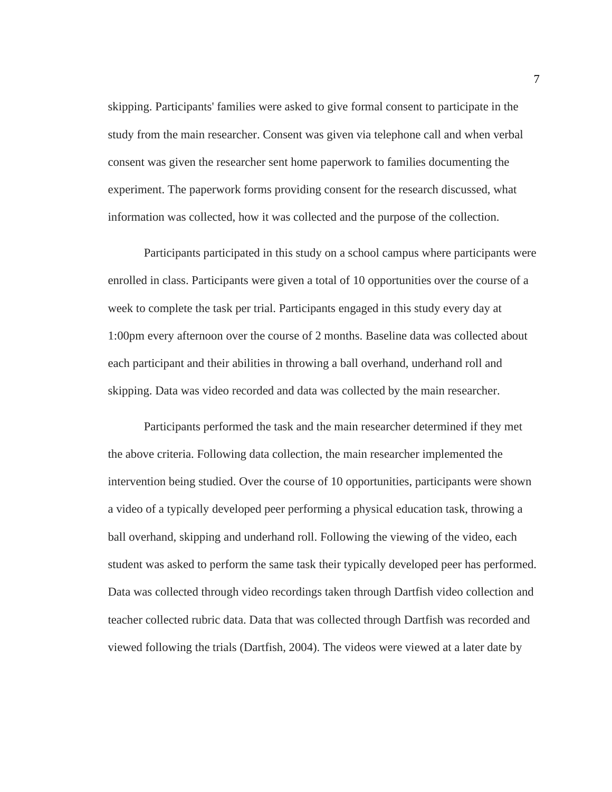skipping. Participants' families were asked to give formal consent to participate in the study from the main researcher. Consent was given via telephone call and when verbal consent was given the researcher sent home paperwork to families documenting the experiment. The paperwork forms providing consent for the research discussed, what information was collected, how it was collected and the purpose of the collection.

Participants participated in this study on a school campus where participants were enrolled in class. Participants were given a total of 10 opportunities over the course of a week to complete the task per trial. Participants engaged in this study every day at 1:00pm every afternoon over the course of 2 months. Baseline data was collected about each participant and their abilities in throwing a ball overhand, underhand roll and skipping. Data was video recorded and data was collected by the main researcher.

Participants performed the task and the main researcher determined if they met the above criteria. Following data collection, the main researcher implemented the intervention being studied. Over the course of 10 opportunities, participants were shown a video of a typically developed peer performing a physical education task, throwing a ball overhand, skipping and underhand roll. Following the viewing of the video, each student was asked to perform the same task their typically developed peer has performed. Data was collected through video recordings taken through Dartfish video collection and teacher collected rubric data. Data that was collected through Dartfish was recorded and viewed following the trials (Dartfish, 2004). The videos were viewed at a later date by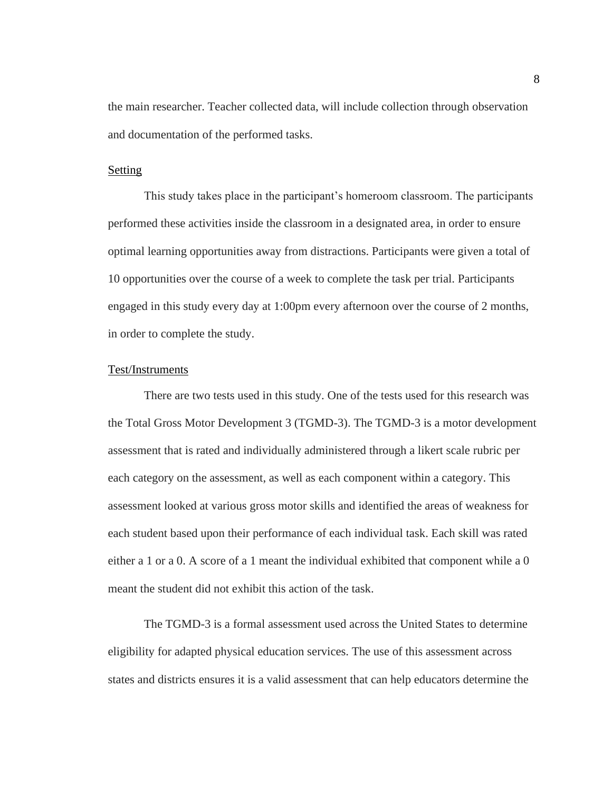the main researcher. Teacher collected data, will include collection through observation and documentation of the performed tasks.

### <span id="page-13-0"></span>**Setting**

This study takes place in the participant's homeroom classroom. The participants performed these activities inside the classroom in a designated area, in order to ensure optimal learning opportunities away from distractions. Participants were given a total of 10 opportunities over the course of a week to complete the task per trial. Participants engaged in this study every day at 1:00pm every afternoon over the course of 2 months, in order to complete the study.

#### <span id="page-13-1"></span>Test/Instruments

There are two tests used in this study. One of the tests used for this research was the Total Gross Motor Development 3 (TGMD-3). The TGMD-3 is a motor development assessment that is rated and individually administered through a likert scale rubric per each category on the assessment, as well as each component within a category. This assessment looked at various gross motor skills and identified the areas of weakness for each student based upon their performance of each individual task. Each skill was rated either a 1 or a 0. A score of a 1 meant the individual exhibited that component while a 0 meant the student did not exhibit this action of the task.

The TGMD-3 is a formal assessment used across the United States to determine eligibility for adapted physical education services. The use of this assessment across states and districts ensures it is a valid assessment that can help educators determine the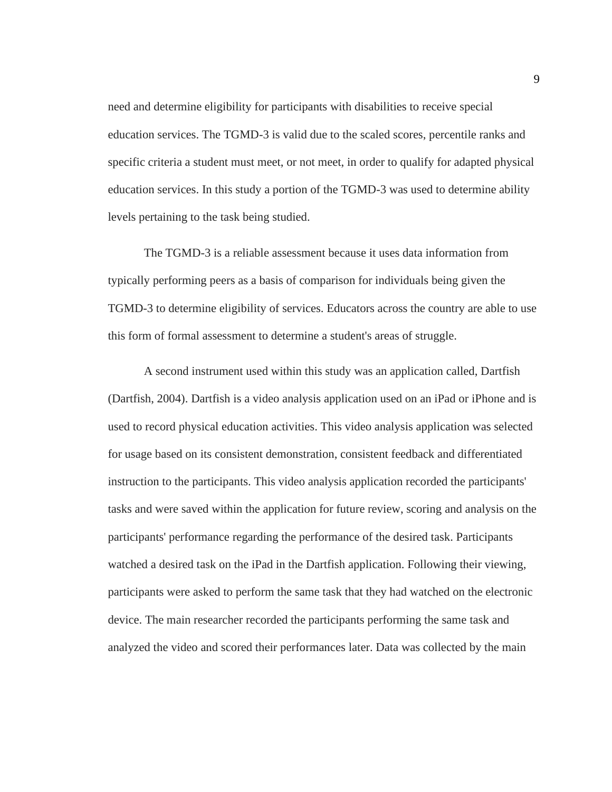need and determine eligibility for participants with disabilities to receive special education services. The TGMD-3 is valid due to the scaled scores, percentile ranks and specific criteria a student must meet, or not meet, in order to qualify for adapted physical education services. In this study a portion of the TGMD-3 was used to determine ability levels pertaining to the task being studied.

The TGMD-3 is a reliable assessment because it uses data information from typically performing peers as a basis of comparison for individuals being given the TGMD-3 to determine eligibility of services. Educators across the country are able to use this form of formal assessment to determine a student's areas of struggle.

A second instrument used within this study was an application called, Dartfish (Dartfish, 2004). Dartfish is a video analysis application used on an iPad or iPhone and is used to record physical education activities. This video analysis application was selected for usage based on its consistent demonstration, consistent feedback and differentiated instruction to the participants. This video analysis application recorded the participants' tasks and were saved within the application for future review, scoring and analysis on the participants' performance regarding the performance of the desired task. Participants watched a desired task on the iPad in the Dartfish application. Following their viewing, participants were asked to perform the same task that they had watched on the electronic device. The main researcher recorded the participants performing the same task and analyzed the video and scored their performances later. Data was collected by the main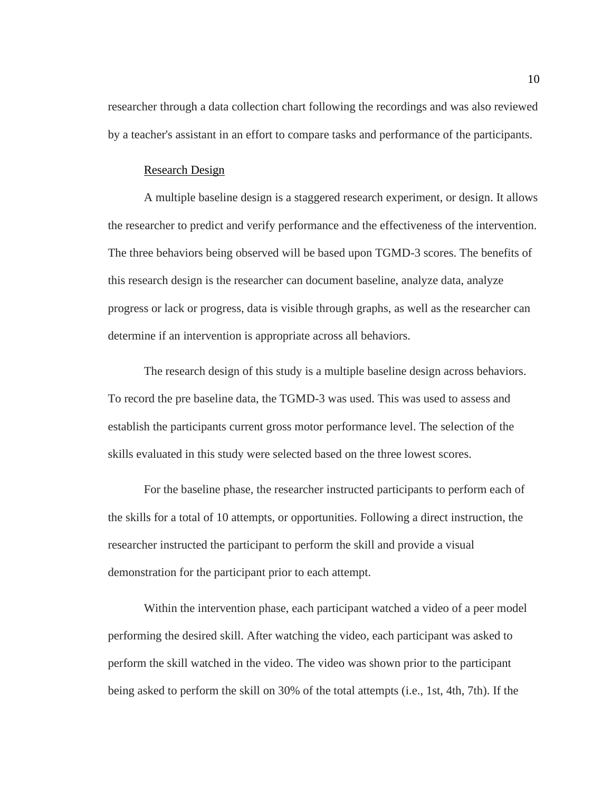researcher through a data collection chart following the recordings and was also reviewed by a teacher's assistant in an effort to compare tasks and performance of the participants.

#### Research Design

<span id="page-15-0"></span>A multiple baseline design is a staggered research experiment, or design. It allows the researcher to predict and verify performance and the effectiveness of the intervention. The three behaviors being observed will be based upon TGMD-3 scores. The benefits of this research design is the researcher can document baseline, analyze data, analyze progress or lack or progress, data is visible through graphs, as well as the researcher can determine if an intervention is appropriate across all behaviors.

The research design of this study is a multiple baseline design across behaviors. To record the pre baseline data, the TGMD-3 was used. This was used to assess and establish the participants current gross motor performance level. The selection of the skills evaluated in this study were selected based on the three lowest scores.

For the baseline phase, the researcher instructed participants to perform each of the skills for a total of 10 attempts, or opportunities. Following a direct instruction, the researcher instructed the participant to perform the skill and provide a visual demonstration for the participant prior to each attempt.

Within the intervention phase, each participant watched a video of a peer model performing the desired skill. After watching the video, each participant was asked to perform the skill watched in the video. The video was shown prior to the participant being asked to perform the skill on 30% of the total attempts (i.e., 1st, 4th, 7th). If the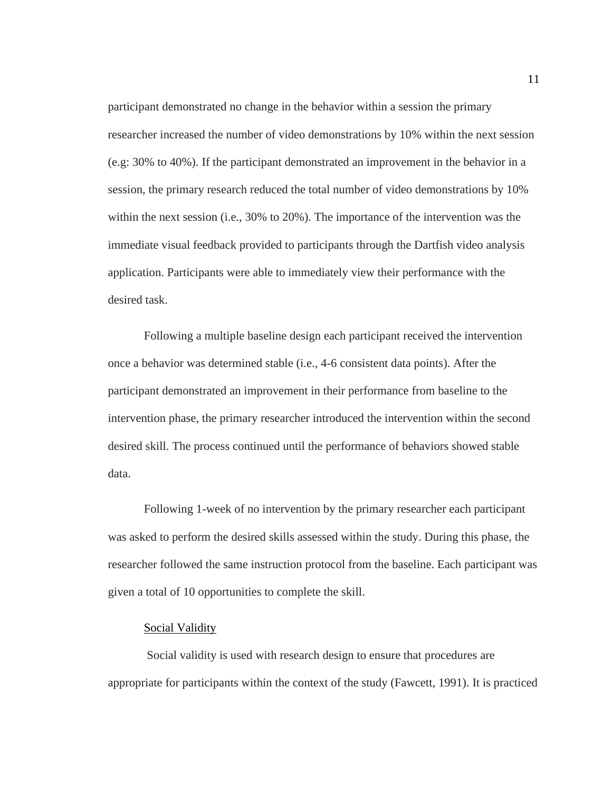participant demonstrated no change in the behavior within a session the primary researcher increased the number of video demonstrations by 10% within the next session (e.g: 30% to 40%). If the participant demonstrated an improvement in the behavior in a session, the primary research reduced the total number of video demonstrations by 10% within the next session (i.e., 30% to 20%). The importance of the intervention was the immediate visual feedback provided to participants through the Dartfish video analysis application. Participants were able to immediately view their performance with the desired task.

Following a multiple baseline design each participant received the intervention once a behavior was determined stable (i.e., 4-6 consistent data points). After the participant demonstrated an improvement in their performance from baseline to the intervention phase, the primary researcher introduced the intervention within the second desired skill. The process continued until the performance of behaviors showed stable data.

Following 1-week of no intervention by the primary researcher each participant was asked to perform the desired skills assessed within the study. During this phase, the researcher followed the same instruction protocol from the baseline. Each participant was given a total of 10 opportunities to complete the skill.

#### Social Validity

<span id="page-16-0"></span>Social validity is used with research design to ensure that procedures are appropriate for participants within the context of the study (Fawcett, 1991). It is practiced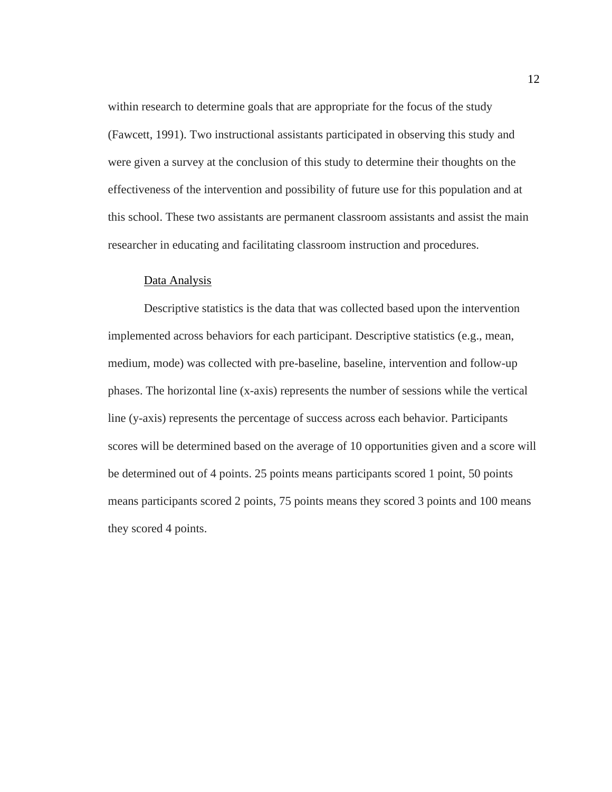within research to determine goals that are appropriate for the focus of the study (Fawcett, 1991). Two instructional assistants participated in observing this study and were given a survey at the conclusion of this study to determine their thoughts on the effectiveness of the intervention and possibility of future use for this population and at this school. These two assistants are permanent classroom assistants and assist the main researcher in educating and facilitating classroom instruction and procedures.

#### Data Analysis

<span id="page-17-0"></span>Descriptive statistics is the data that was collected based upon the intervention implemented across behaviors for each participant. Descriptive statistics (e.g., mean, medium, mode) was collected with pre-baseline, baseline, intervention and follow-up phases. The horizontal line (x-axis) represents the number of sessions while the vertical line (y-axis) represents the percentage of success across each behavior. Participants scores will be determined based on the average of 10 opportunities given and a score will be determined out of 4 points. 25 points means participants scored 1 point, 50 points means participants scored 2 points, 75 points means they scored 3 points and 100 means they scored 4 points.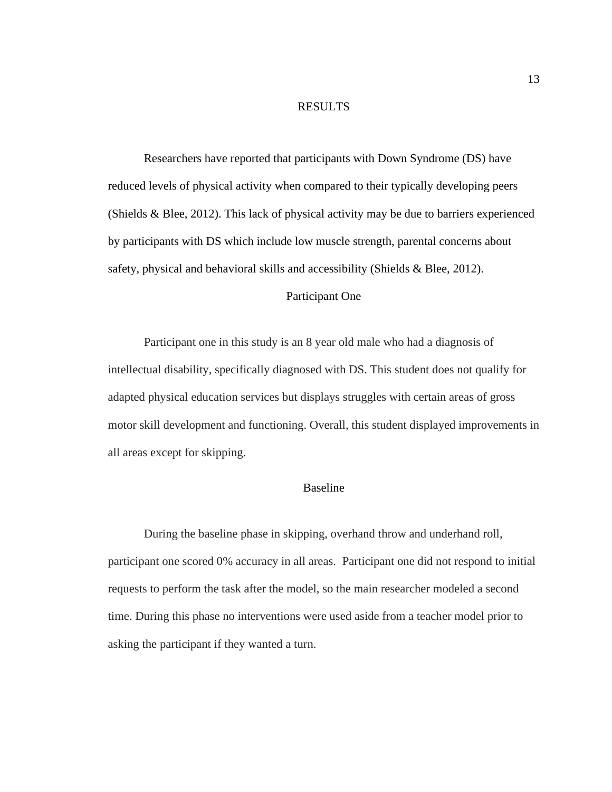# RESULTS

<span id="page-18-0"></span>Researchers have reported that participants with Down Syndrome (DS) have reduced levels of physical activity when compared to their typically developing peers (Shields & Blee, 2012). This lack of physical activity may be due to barriers experienced by participants with DS which include low muscle strength, parental concerns about safety, physical and behavioral skills and accessibility (Shields & Blee, 2012).

# Participant One

<span id="page-18-1"></span>Participant one in this study is an 8 year old male who had a diagnosis of intellectual disability, specifically diagnosed with DS. This student does not qualify for adapted physical education services but displays struggles with certain areas of gross motor skill development and functioning. Overall, this student displayed improvements in all areas except for skipping.

# Baseline

<span id="page-18-2"></span>During the baseline phase in skipping, overhand throw and underhand roll, participant one scored 0% accuracy in all areas. Participant one did not respond to initial requests to perform the task after the model, so the main researcher modeled a second time. During this phase no interventions were used aside from a teacher model prior to asking the participant if they wanted a turn.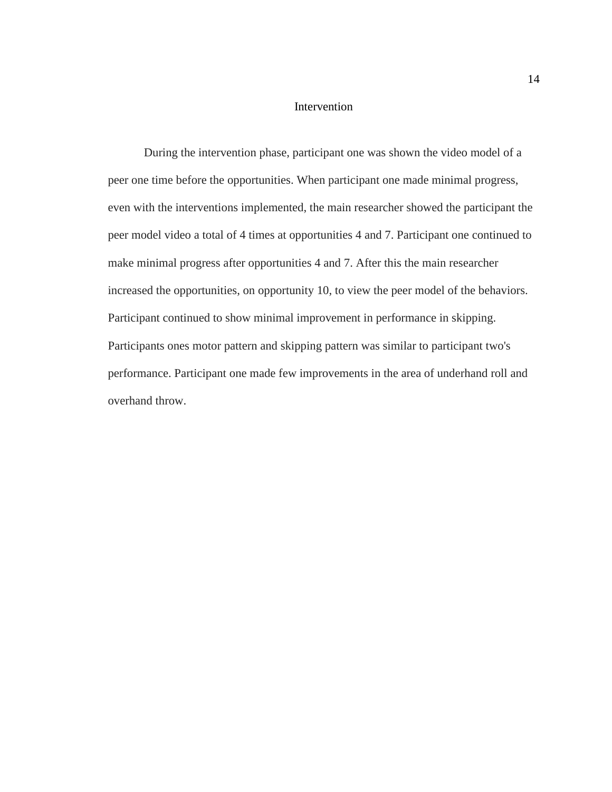# Intervention

<span id="page-19-0"></span>During the intervention phase, participant one was shown the video model of a peer one time before the opportunities. When participant one made minimal progress, even with the interventions implemented, the main researcher showed the participant the peer model video a total of 4 times at opportunities 4 and 7. Participant one continued to make minimal progress after opportunities 4 and 7. After this the main researcher increased the opportunities, on opportunity 10, to view the peer model of the behaviors. Participant continued to show minimal improvement in performance in skipping. Participants ones motor pattern and skipping pattern was similar to participant two's performance. Participant one made few improvements in the area of underhand roll and overhand throw.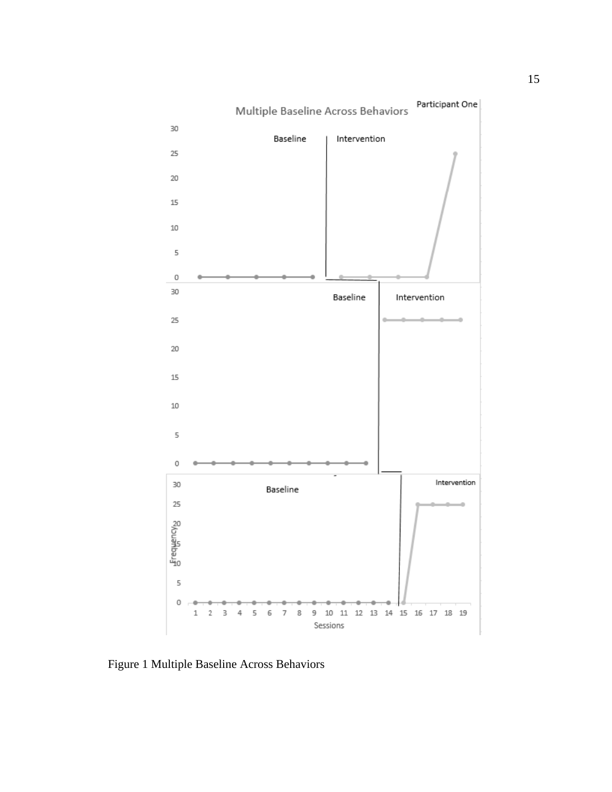

<span id="page-20-0"></span>Figure 1 Multiple Baseline Across Behaviors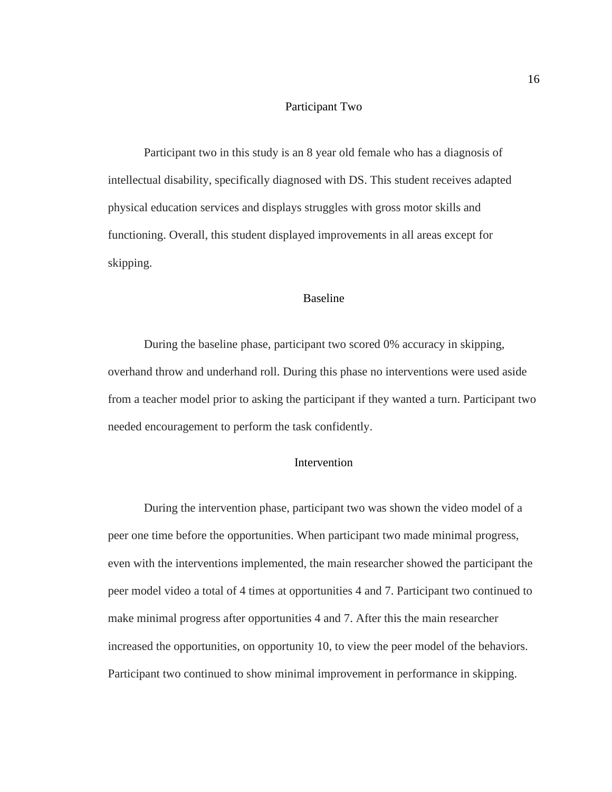#### Participant Two

<span id="page-21-0"></span>Participant two in this study is an 8 year old female who has a diagnosis of intellectual disability, specifically diagnosed with DS. This student receives adapted physical education services and displays struggles with gross motor skills and functioning. Overall, this student displayed improvements in all areas except for skipping.

# Baseline

<span id="page-21-1"></span>During the baseline phase, participant two scored 0% accuracy in skipping, overhand throw and underhand roll. During this phase no interventions were used aside from a teacher model prior to asking the participant if they wanted a turn. Participant two needed encouragement to perform the task confidently.

# Intervention

<span id="page-21-2"></span>During the intervention phase, participant two was shown the video model of a peer one time before the opportunities. When participant two made minimal progress, even with the interventions implemented, the main researcher showed the participant the peer model video a total of 4 times at opportunities 4 and 7. Participant two continued to make minimal progress after opportunities 4 and 7. After this the main researcher increased the opportunities, on opportunity 10, to view the peer model of the behaviors. Participant two continued to show minimal improvement in performance in skipping.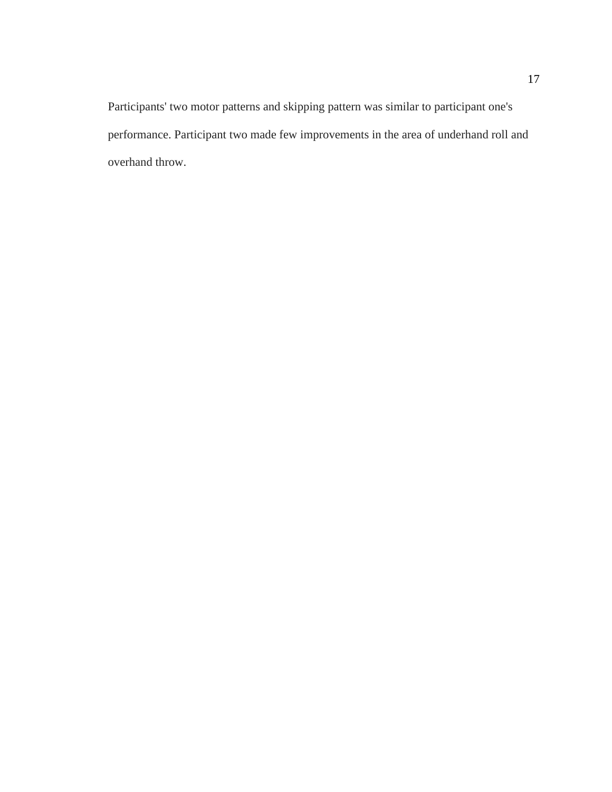Participants' two motor patterns and skipping pattern was similar to participant one's performance. Participant two made few improvements in the area of underhand roll and overhand throw.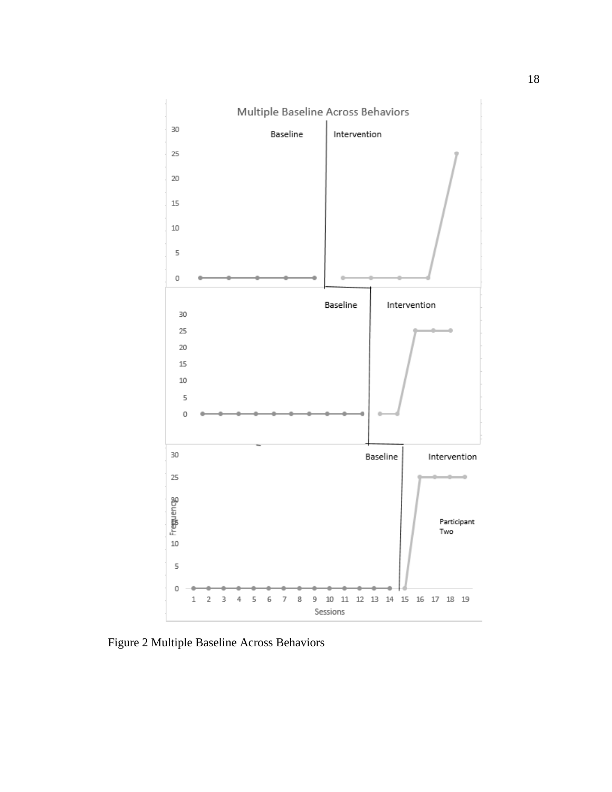

<span id="page-23-0"></span>Figure 2 Multiple Baseline Across Behaviors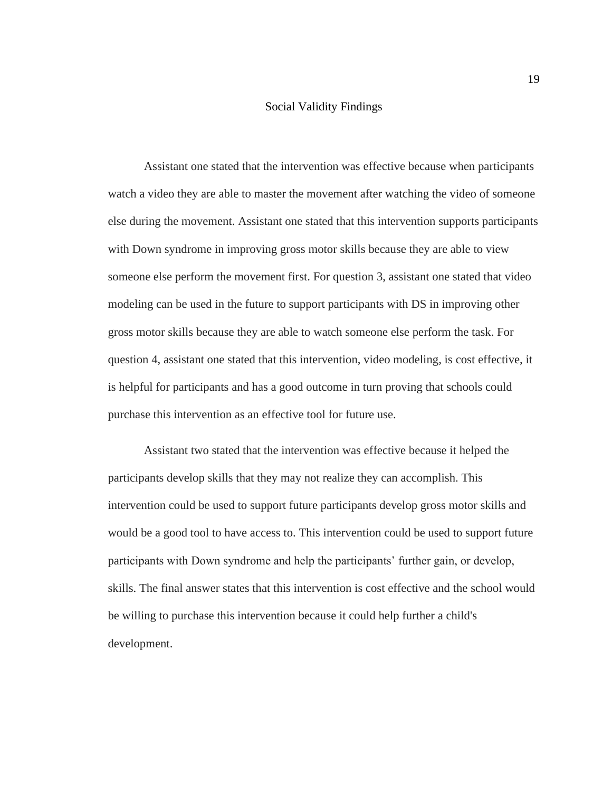#### Social Validity Findings

<span id="page-24-0"></span>Assistant one stated that the intervention was effective because when participants watch a video they are able to master the movement after watching the video of someone else during the movement. Assistant one stated that this intervention supports participants with Down syndrome in improving gross motor skills because they are able to view someone else perform the movement first. For question 3, assistant one stated that video modeling can be used in the future to support participants with DS in improving other gross motor skills because they are able to watch someone else perform the task. For question 4, assistant one stated that this intervention, video modeling, is cost effective, it is helpful for participants and has a good outcome in turn proving that schools could purchase this intervention as an effective tool for future use.

Assistant two stated that the intervention was effective because it helped the participants develop skills that they may not realize they can accomplish. This intervention could be used to support future participants develop gross motor skills and would be a good tool to have access to. This intervention could be used to support future participants with Down syndrome and help the participants' further gain, or develop, skills. The final answer states that this intervention is cost effective and the school would be willing to purchase this intervention because it could help further a child's development.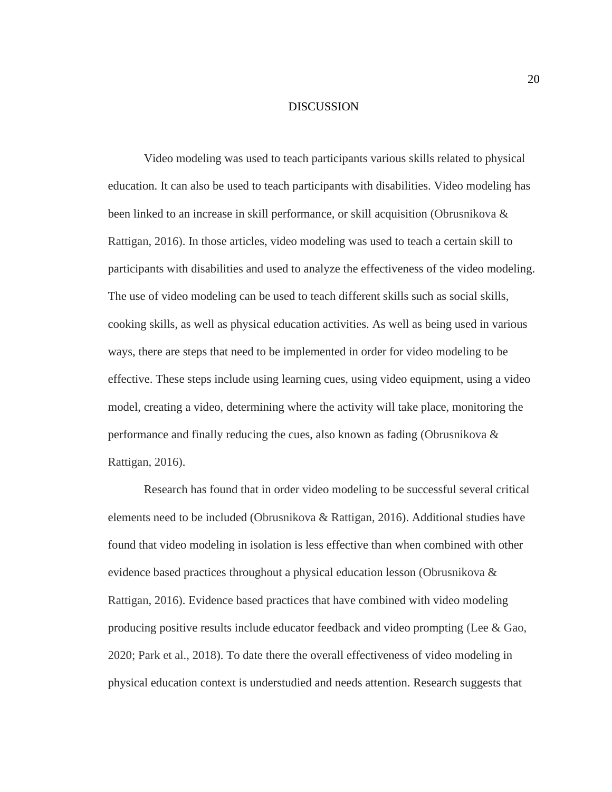#### DISCUSSION

<span id="page-25-0"></span>Video modeling was used to teach participants various skills related to physical education. It can also be used to teach participants with disabilities. Video modeling has been linked to an increase in skill performance, or skill acquisition (Obrusnikova & Rattigan, 2016). In those articles, video modeling was used to teach a certain skill to participants with disabilities and used to analyze the effectiveness of the video modeling. The use of video modeling can be used to teach different skills such as social skills, cooking skills, as well as physical education activities. As well as being used in various ways, there are steps that need to be implemented in order for video modeling to be effective. These steps include using learning cues, using video equipment, using a video model, creating a video, determining where the activity will take place, monitoring the performance and finally reducing the cues, also known as fading (Obrusnikova & Rattigan, 2016).

Research has found that in order video modeling to be successful several critical elements need to be included (Obrusnikova & Rattigan, 2016). Additional studies have found that video modeling in isolation is less effective than when combined with other evidence based practices throughout a physical education lesson (Obrusnikova & Rattigan, 2016). Evidence based practices that have combined with video modeling producing positive results include educator feedback and video prompting (Lee & Gao, 2020; Park et al., 2018). To date there the overall effectiveness of video modeling in physical education context is understudied and needs attention. Research suggests that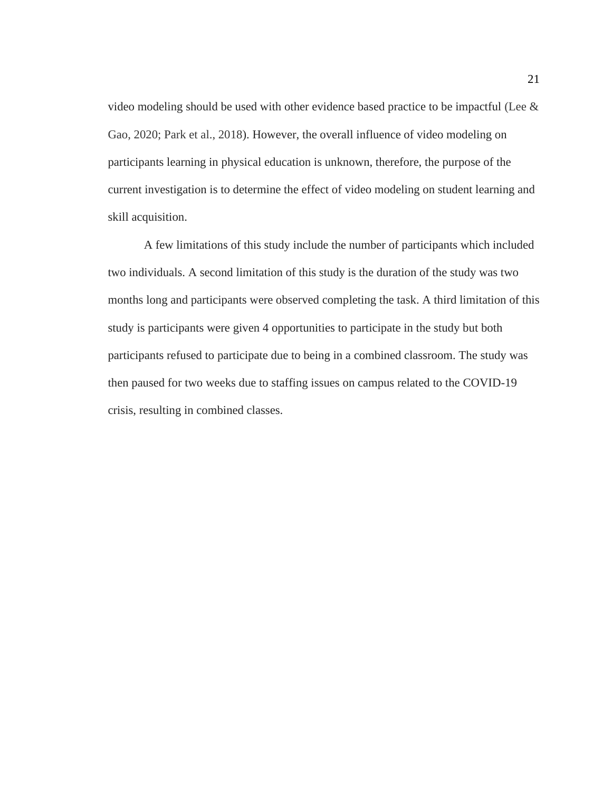video modeling should be used with other evidence based practice to be impactful (Lee & Gao, 2020; Park et al., 2018). However, the overall influence of video modeling on participants learning in physical education is unknown, therefore, the purpose of the current investigation is to determine the effect of video modeling on student learning and skill acquisition.

A few limitations of this study include the number of participants which included two individuals. A second limitation of this study is the duration of the study was two months long and participants were observed completing the task. A third limitation of this study is participants were given 4 opportunities to participate in the study but both participants refused to participate due to being in a combined classroom. The study was then paused for two weeks due to staffing issues on campus related to the COVID-19 crisis, resulting in combined classes.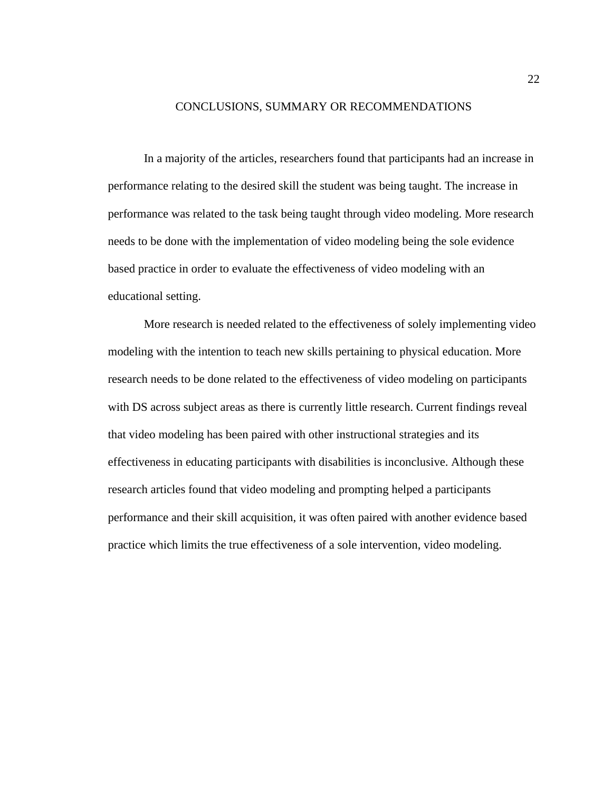#### CONCLUSIONS, SUMMARY OR RECOMMENDATIONS

<span id="page-27-0"></span>In a majority of the articles, researchers found that participants had an increase in performance relating to the desired skill the student was being taught. The increase in performance was related to the task being taught through video modeling. More research needs to be done with the implementation of video modeling being the sole evidence based practice in order to evaluate the effectiveness of video modeling with an educational setting.

More research is needed related to the effectiveness of solely implementing video modeling with the intention to teach new skills pertaining to physical education. More research needs to be done related to the effectiveness of video modeling on participants with DS across subject areas as there is currently little research. Current findings reveal that video modeling has been paired with other instructional strategies and its effectiveness in educating participants with disabilities is inconclusive. Although these research articles found that video modeling and prompting helped a participants performance and their skill acquisition, it was often paired with another evidence based practice which limits the true effectiveness of a sole intervention, video modeling.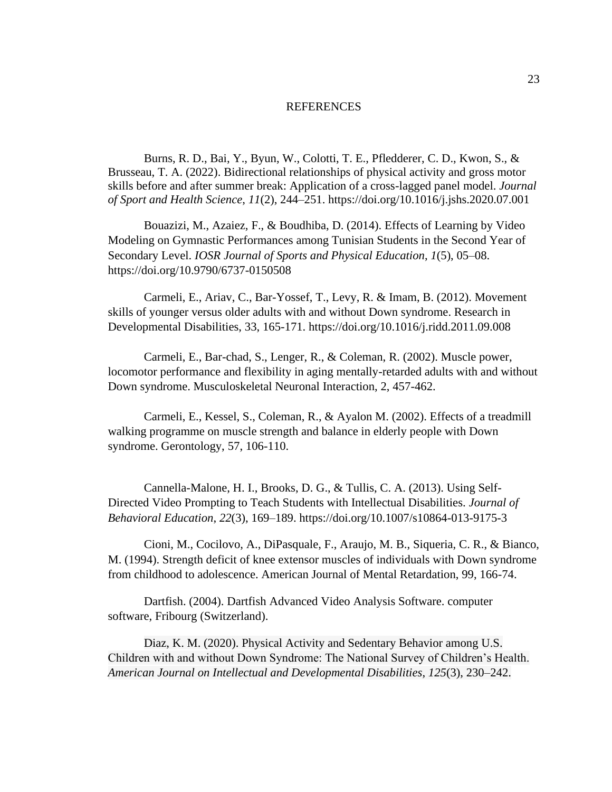#### REFERENCES

<span id="page-28-0"></span>Burns, R. D., Bai, Y., Byun, W., Colotti, T. E., Pfledderer, C. D., Kwon, S., & Brusseau, T. A. (2022). Bidirectional relationships of physical activity and gross motor skills before and after summer break: Application of a cross-lagged panel model. *Journal of Sport and Health Science*, *11*(2), 244–251. https://doi.org/10.1016/j.jshs.2020.07.001

Bouazizi, M., Azaiez, F., & Boudhiba, D. (2014). Effects of Learning by Video Modeling on Gymnastic Performances among Tunisian Students in the Second Year of Secondary Level. *IOSR Journal of Sports and Physical Education*, *1*(5), 05–08. https://doi.org/10.9790/6737-0150508

Carmeli, E., Ariav, C., Bar-Yossef, T., Levy, R. & Imam, B. (2012). Movement skills of younger versus older adults with and without Down syndrome. Research in Developmental Disabilities, 33, 165-171. https://doi.org/10.1016/j.ridd.2011.09.008

Carmeli, E., Bar-chad, S., Lenger, R., & Coleman, R. (2002). Muscle power, locomotor performance and flexibility in aging mentally-retarded adults with and without Down syndrome. Musculoskeletal Neuronal Interaction, 2, 457-462.

Carmeli, E., Kessel, S., Coleman, R., & Ayalon M. (2002). Effects of a treadmill walking programme on muscle strength and balance in elderly people with Down syndrome. Gerontology, 57, 106-110.

Cannella-Malone, H. I., Brooks, D. G., & Tullis, C. A. (2013). Using Self-Directed Video Prompting to Teach Students with Intellectual Disabilities. *Journal of Behavioral Education*, *22*(3), 169–189. https://doi.org/10.1007/s10864-013-9175-3

Cioni, M., Cocilovo, A., DiPasquale, F., Araujo, M. B., Siqueria, C. R., & Bianco, M. (1994). Strength deficit of knee extensor muscles of individuals with Down syndrome from childhood to adolescence. American Journal of Mental Retardation, 99, 166-74.

Dartfish. (2004). Dartfish Advanced Video Analysis Software. computer software, Fribourg (Switzerland).

Diaz, K. M. (2020). Physical Activity and Sedentary Behavior among U.S. Children with and without Down Syndrome: The National Survey of Children's Health. *American Journal on Intellectual and Developmental Disabilities*, *125*(3), 230–242.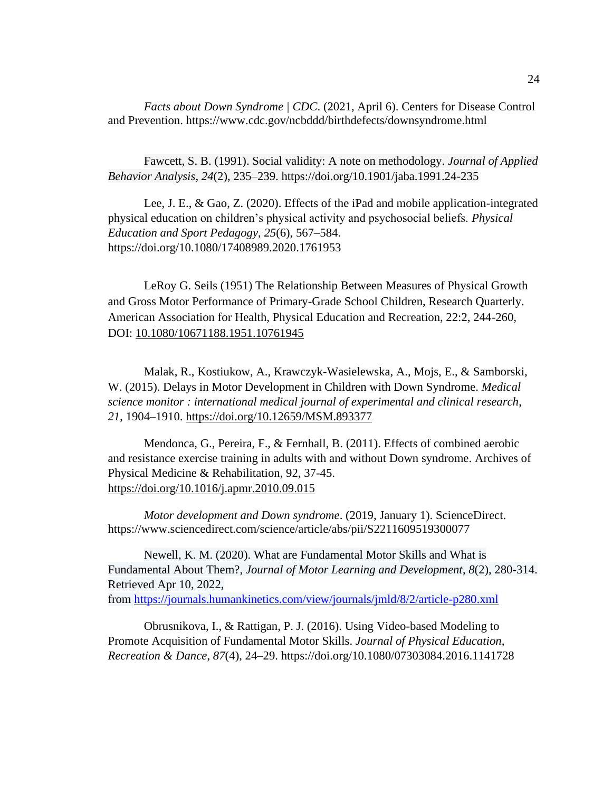*Facts about Down Syndrome | CDC*. (2021, April 6). Centers for Disease Control and Prevention. https://www.cdc.gov/ncbddd/birthdefects/downsyndrome.html

Fawcett, S. B. (1991). Social validity: A note on methodology. *Journal of Applied Behavior Analysis*, *24*(2), 235–239. https://doi.org/10.1901/jaba.1991.24-235

Lee, J. E., & Gao, Z. (2020). Effects of the iPad and mobile application-integrated physical education on children's physical activity and psychosocial beliefs. *Physical Education and Sport Pedagogy*, *25*(6), 567–584. https://doi.org/10.1080/17408989.2020.1761953

LeRoy G. Seils (1951) The Relationship Between Measures of Physical Growth and Gross Motor Performance of Primary-Grade School Children, Research Quarterly. American Association for Health, Physical Education and Recreation, 22:2, 244-260, DOI: [10.1080/10671188.1951.10761945](https://doi.org/10.1080/10671188.1951.10761945)

Malak, R., Kostiukow, A., Krawczyk-Wasielewska, A., Mojs, E., & Samborski, W. (2015). Delays in Motor Development in Children with Down Syndrome. *Medical science monitor : international medical journal of experimental and clinical research*, *21*, 1904–1910.<https://doi.org/10.12659/MSM.893377>

Mendonca, G., Pereira, F., & Fernhall, B. (2011). Effects of combined aerobic and resistance exercise training in adults with and without Down syndrome. Archives of Physical Medicine & Rehabilitation, 92, 37-45. <https://doi.org/10.1016/j.apmr.2010.09.015>

*Motor development and Down syndrome*. (2019, January 1). ScienceDirect. https://www.sciencedirect.com/science/article/abs/pii/S2211609519300077

Newell, K. M. (2020). What are Fundamental Motor Skills and What is Fundamental About Them?, *Journal of Motor Learning and Development*, *8*(2), 280-314. Retrieved Apr 10, 2022, from <https://journals.humankinetics.com/view/journals/jmld/8/2/article-p280.xml>

Obrusnikova, I., & Rattigan, P. J. (2016). Using Video-based Modeling to Promote Acquisition of Fundamental Motor Skills. *Journal of Physical Education, Recreation & Dance*, *87*(4), 24–29. https://doi.org/10.1080/07303084.2016.1141728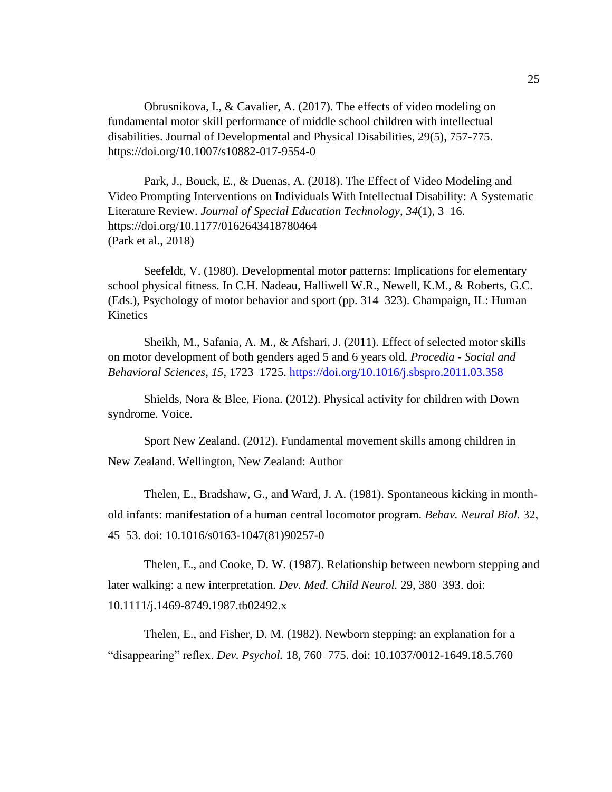Obrusnikova, I., & Cavalier, A. (2017). The effects of video modeling on fundamental motor skill performance of middle school children with intellectual disabilities. Journal of Developmental and Physical Disabilities, 29(5), 757-775. <https://doi.org/10.1007/s10882-017-9554-0>

Park, J., Bouck, E., & Duenas, A. (2018). The Effect of Video Modeling and Video Prompting Interventions on Individuals With Intellectual Disability: A Systematic Literature Review. *Journal of Special Education Technology*, *34*(1), 3–16. https://doi.org/10.1177/0162643418780464 (Park et al., 2018)

Seefeldt, V. (1980). Developmental motor patterns: Implications for elementary school physical fitness. In C.H. Nadeau, Halliwell W.R., Newell, K.M., & Roberts, G.C. (Eds.), Psychology of motor behavior and sport (pp. 314–323). Champaign, IL: Human Kinetics

Sheikh, M., Safania, A. M., & Afshari, J. (2011). Effect of selected motor skills on motor development of both genders aged 5 and 6 years old. *Procedia - Social and Behavioral Sciences*, *15*, 1723–1725.<https://doi.org/10.1016/j.sbspro.2011.03.358>

Shields, Nora & Blee, Fiona. (2012). Physical activity for children with Down syndrome. Voice.

Sport New Zealand. (2012). Fundamental movement skills among children in New Zealand. Wellington, New Zealand: Author

Thelen, E., Bradshaw, G., and Ward, J. A. (1981). Spontaneous kicking in monthold infants: manifestation of a human central locomotor program. *Behav. Neural Biol.* 32, 45–53. doi: 10.1016/s0163-1047(81)90257-0

Thelen, E., and Cooke, D. W. (1987). Relationship between newborn stepping and later walking: a new interpretation. *Dev. Med. Child Neurol.* 29, 380–393. doi: 10.1111/j.1469-8749.1987.tb02492.x

Thelen, E., and Fisher, D. M. (1982). Newborn stepping: an explanation for a "disappearing" reflex. *Dev. Psychol.* 18, 760–775. doi: 10.1037/0012-1649.18.5.760